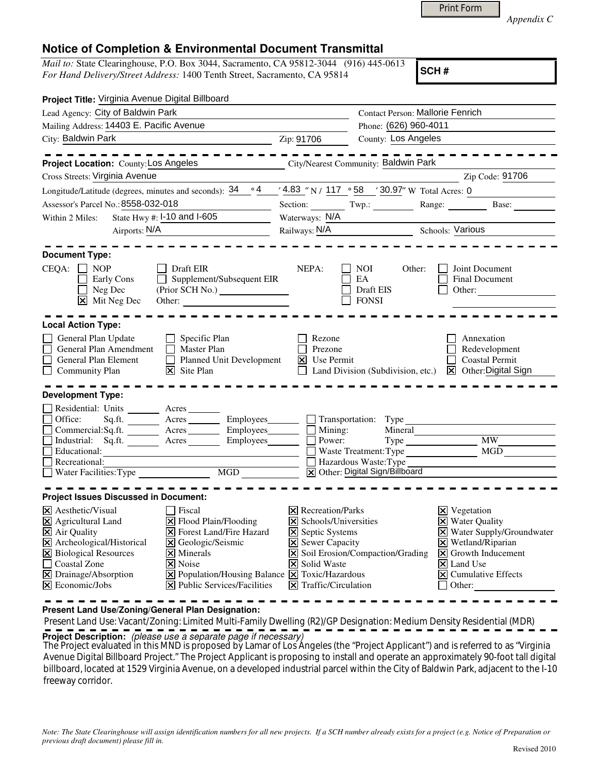|  | Print Form |
|--|------------|
|  |            |

*Appendix C* 

## **Notice of Completion & Environmental Document Transmittal**

*Mail to:* State Clearinghouse, P.O. Box 3044, Sacramento, CA 95812-3044 (916) 445-0613 *For Hand Delivery/Street Address:* 1400 Tenth Street, Sacramento, CA 95814

**SCH #**

| Project Title: Virginia Avenue Digital Billboard                                                                                                                                                                                                                                                                                                                                                                                                                                                      |                                                                                                                                            |                                                                     |                                                                                                                                                                                                                         |
|-------------------------------------------------------------------------------------------------------------------------------------------------------------------------------------------------------------------------------------------------------------------------------------------------------------------------------------------------------------------------------------------------------------------------------------------------------------------------------------------------------|--------------------------------------------------------------------------------------------------------------------------------------------|---------------------------------------------------------------------|-------------------------------------------------------------------------------------------------------------------------------------------------------------------------------------------------------------------------|
| Lead Agency: City of Baldwin Park                                                                                                                                                                                                                                                                                                                                                                                                                                                                     |                                                                                                                                            | Contact Person: Mallorie Fenrich                                    |                                                                                                                                                                                                                         |
| Mailing Address: 14403 E. Pacific Avenue                                                                                                                                                                                                                                                                                                                                                                                                                                                              |                                                                                                                                            | Phone: (626) 960-4011                                               |                                                                                                                                                                                                                         |
| City: Baldwin Park                                                                                                                                                                                                                                                                                                                                                                                                                                                                                    | Zip: 91706                                                                                                                                 | County: Los Angeles                                                 |                                                                                                                                                                                                                         |
| Project Location: County: Los Angeles                                                                                                                                                                                                                                                                                                                                                                                                                                                                 |                                                                                                                                            | City/Nearest Community: Baldwin Park                                | Zip Code: 91706                                                                                                                                                                                                         |
| Cross Streets: Virginia Avenue                                                                                                                                                                                                                                                                                                                                                                                                                                                                        |                                                                                                                                            |                                                                     |                                                                                                                                                                                                                         |
| Longitude/Latitude (degrees, minutes and seconds): $34 \cdot 94 \cdot 4.83$ "N / 117 $\cdot 58$ $\cdot 30.97$ " W Total Acres: 0                                                                                                                                                                                                                                                                                                                                                                      |                                                                                                                                            |                                                                     |                                                                                                                                                                                                                         |
| Assessor's Parcel No.: 8558-032-018                                                                                                                                                                                                                                                                                                                                                                                                                                                                   |                                                                                                                                            |                                                                     | Section: Twp.: Range: Base:                                                                                                                                                                                             |
| State Hwy #: I-10 and I-605<br>Within 2 Miles:                                                                                                                                                                                                                                                                                                                                                                                                                                                        | Waterways: N/A                                                                                                                             |                                                                     |                                                                                                                                                                                                                         |
| Airports: N/A                                                                                                                                                                                                                                                                                                                                                                                                                                                                                         |                                                                                                                                            |                                                                     | Railways: N/A<br>Schools: Various                                                                                                                                                                                       |
| <b>Document Type:</b>                                                                                                                                                                                                                                                                                                                                                                                                                                                                                 |                                                                                                                                            |                                                                     |                                                                                                                                                                                                                         |
| $CEQA: \Box NP$<br>$\Box$ Draft EIR<br>$\Box$ Supplement/Subsequent EIR<br>$\Box$ Early Cons<br>$\Box$ Neg Dec<br>X Mit Neg Dec                                                                                                                                                                                                                                                                                                                                                                       | NEPA:                                                                                                                                      | NOI 1<br>Other:<br>EA<br>Draft EIS<br><b>FONSI</b>                  | Joint Document<br><b>Final Document</b><br>Other:                                                                                                                                                                       |
| <b>Local Action Type:</b>                                                                                                                                                                                                                                                                                                                                                                                                                                                                             |                                                                                                                                            |                                                                     |                                                                                                                                                                                                                         |
| General Plan Update<br>$\Box$ Specific Plan<br>$\Box$<br>$\Box$ Master Plan<br>General Plan Amendment<br>$\Box$<br>Planned Unit Development<br>General Plan Element<br>$\boxtimes$ Site Plan<br>Community Plan                                                                                                                                                                                                                                                                                        | Rezone<br>Prezone<br>$\boxtimes$ Use Permit                                                                                                |                                                                     | Annexation<br>Redevelopment<br><b>Coastal Permit</b><br>$\Box$ Land Division (Subdivision, etc.) $\boxtimes$ Other: Digital Sign                                                                                        |
| <b>Development Type:</b>                                                                                                                                                                                                                                                                                                                                                                                                                                                                              |                                                                                                                                            |                                                                     |                                                                                                                                                                                                                         |
| Residential: Units _________ Acres _______<br>Office:<br>Sq.ft. ________ Acres _________ Employees________ ___ Transportation: Type<br>□ Commercial:Sq.ft. <u> <br/> Acres</u> <u>Acres</u> <b>Employees</b><br><b>Employees</b><br><br><br><br><br><br><b>I</b> Mining:<br>$\Box$ Industrial: Sq.ft. $\overline{\qquad \qquad}$ Acres $\overline{\qquad \qquad}$ Employees $\Box$ Power:<br>$\Box$<br>Educational:<br><u>Necreauonal:</u><br>Nater Facilities:Type MGD MGD Nater Digital Sign/Billbo |                                                                                                                                            | Mineral<br>Waste Treatment: Type<br>X Other: Digital Sign/Billboard | Type MW<br>MGD                                                                                                                                                                                                          |
|                                                                                                                                                                                                                                                                                                                                                                                                                                                                                                       |                                                                                                                                            |                                                                     |                                                                                                                                                                                                                         |
| <b>Project Issues Discussed in Document:</b><br>$\times$ Aesthetic/Visual<br>  Fiscal                                                                                                                                                                                                                                                                                                                                                                                                                 | $ \mathsf{X} $ Recreation/Parks                                                                                                            |                                                                     | $\times$ Vegetation                                                                                                                                                                                                     |
| $\boxtimes$ Agricultural Land<br>X Flood Plain/Flooding<br>X Air Quality<br><b>X</b> Forest Land/Fire Hazard<br>X Archeological/Historical<br>X Geologic/Seismic<br>X Biological Resources<br>$\times$ Minerals<br>Coastal Zone<br>$ \mathsf{X} $ Noise<br>X Drainage/Absorption<br>$\boxed{\mathbf{X}}$ Population/Housing Balance $\boxed{\mathbf{X}}$ Toxic/Hazardous<br>$\boxtimes$ Economic/Jobs<br>$ \mathbf{\times} $ Public Services/Facilities                                               | $\times$ Schools/Universities<br><b>X</b> Septic Systems<br><b>X</b> Sewer Capacity<br>X Solid Waste<br>$ \mathsf{X} $ Traffic/Circulation | $\triangleright$ Soil Erosion/Compaction/Grading                    | <b>X</b> Water Quality<br>X Water Supply/Groundwater<br>$\boxtimes$ Wetland/Riparian<br>$\vert\mathbf{X}\vert$ Growth Inducement<br>$\boxed{\mathsf{X}}$ Land Use<br>$ \mathsf{x} $ Cumulative Effects<br>$\Box$ Other: |

**Present Land Use/Zoning/General Plan Designation:**

 Present Land Use: Vacant/Zoning: Limited Multi-Family Dwelling (R2)/GP Designation: Medium Density Residential (MDR) **Project Description:** (please use a separate page if necessary)

 The Project evaluated in this MND is proposed by Lamar of Los Angeles (the "Project Applicant") and is referred to as "Virginia Avenue Digital Billboard Project." The Project Applicant is proposing to install and operate an approximately 90-foot tall digital billboard, located at 1529 Virginia Avenue, on a developed industrial parcel within the City of Baldwin Park, adjacent to the I-10 freeway corridor.